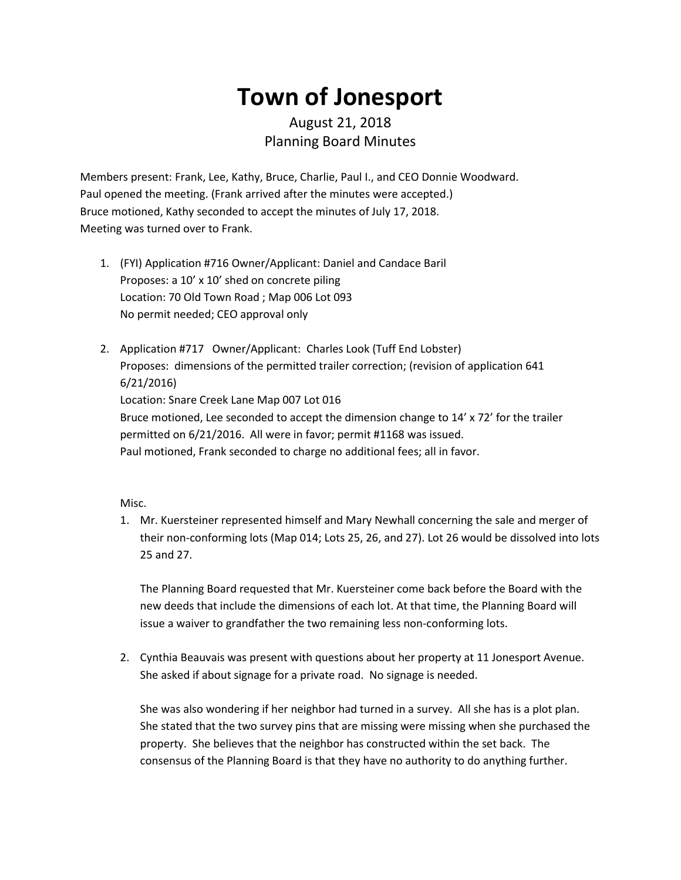## **Town of Jonesport**

## August 21, 2018 Planning Board Minutes

Members present: Frank, Lee, Kathy, Bruce, Charlie, Paul I., and CEO Donnie Woodward. Paul opened the meeting. (Frank arrived after the minutes were accepted.) Bruce motioned, Kathy seconded to accept the minutes of July 17, 2018. Meeting was turned over to Frank.

- 1. (FYI) Application #716 Owner/Applicant: Daniel and Candace Baril Proposes: a 10' x 10' shed on concrete piling Location: 70 Old Town Road ; Map 006 Lot 093 No permit needed; CEO approval only
- 2. Application #717 Owner/Applicant: Charles Look (Tuff End Lobster) Proposes: dimensions of the permitted trailer correction; (revision of application 641 6/21/2016) Location: Snare Creek Lane Map 007 Lot 016 Bruce motioned, Lee seconded to accept the dimension change to 14' x 72' for the trailer permitted on 6/21/2016. All were in favor; permit #1168 was issued. Paul motioned, Frank seconded to charge no additional fees; all in favor.

## Misc.

1. Mr. Kuersteiner represented himself and Mary Newhall concerning the sale and merger of their non-conforming lots (Map 014; Lots 25, 26, and 27). Lot 26 would be dissolved into lots 25 and 27.

The Planning Board requested that Mr. Kuersteiner come back before the Board with the new deeds that include the dimensions of each lot. At that time, the Planning Board will issue a waiver to grandfather the two remaining less non-conforming lots.

2. Cynthia Beauvais was present with questions about her property at 11 Jonesport Avenue. She asked if about signage for a private road. No signage is needed.

She was also wondering if her neighbor had turned in a survey. All she has is a plot plan. She stated that the two survey pins that are missing were missing when she purchased the property. She believes that the neighbor has constructed within the set back. The consensus of the Planning Board is that they have no authority to do anything further.